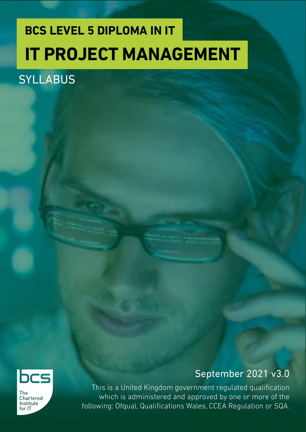## **BCS LEVEL 5 DIPLOMA IN IT IT PROJECT MANAGEMENT**

## **SYLLABUS**



**The** Chartered Institute  $for 1T$ 

## September 2021 v3.0

This is a United Kingdom government regulated qualification which is administered and approved by one or more of the following: Ofqual, Qualifications Wales, CCEA Regulation or SQA.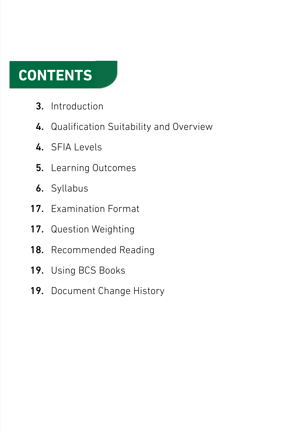## **CONTENTS**

- Introduction 3.
- 4. Qualification Suitability and Overview
- 4. SFIA Levels
- Learning Outcomes 5.
- **6.** Syllabus
- 17. Examination Format
- 17. Question Weighting
- Recommended Reading 18.
- Using BCS Books 19.
- 19. Document Change History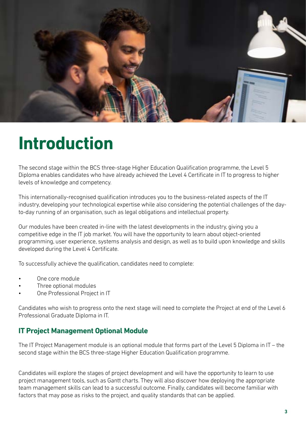

## **Introduction**

The second stage within the BCS three-stage Higher Education Qualification programme, the Level 5 Diploma enables candidates who have already achieved the Level 4 Certificate in IT to progress to higher levels of knowledge and competency.

This internationally-recognised qualification introduces you to the business-related aspects of the IT industry, developing your technological expertise while also considering the potential challenges of the dayto-day running of an organisation, such as legal obligations and intellectual property.

Our modules have been created in-line with the latest developments in the industry, giving you a competitive edge in the IT job market. You will have the opportunity to learn about object-oriented programming, user experience, systems analysis and design, as well as to build upon knowledge and skills developed during the Level 4 Certificate.

To successfully achieve the qualification, candidates need to complete:

- One core module
- Three optional modules
- One Professional Project in IT

Candidates who wish to progress onto the next stage will need to complete the Project at end of the Level 6 Professional Graduate Diploma in IT.

### **IT Project Management Optional Module**

The IT Project Management module is an optional module that forms part of the Level 5 Diploma in IT – the second stage within the BCS three-stage Higher Education Qualification programme.

Candidates will explore the stages of project development and will have the opportunity to learn to use project management tools, such as Gantt charts. They will also discover how deploying the appropriate team management skills can lead to a successful outcome. Finally, candidates will become familiar with factors that may pose as risks to the project, and quality standards that can be applied.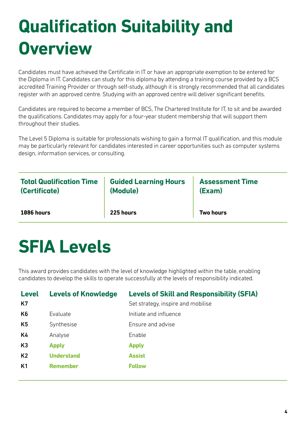# **Qualification Suitability and Overview**

Candidates must have achieved the Certificate in IT or have an appropriate exemption to be entered for the Diploma in IT. Candidates can study for this diploma by attending a training course provided by a BCS accredited Training Provider or through self-study, although it is strongly recommended that all candidates register with an approved centre. Studying with an approved centre will deliver significant benefits.

Candidates are required to become a member of BCS, The Chartered Institute for IT, to sit and be awarded the qualifications. Candidates may apply for a four-year student membership that will support them throughout their studies.

The Level 5 Diploma is suitable for professionals wishing to gain a formal IT qualification, and this module may be particularly relevant for candidates interested in career opportunities such as computer systems design, information services, or consulting.

| <b>Total Qualification Time</b> | <b>Guided Learning Hours</b> | <b>Assessment Time</b> |
|---------------------------------|------------------------------|------------------------|
| (Certificate)                   | (Module)                     | (Exam)                 |
| 1086 hours                      | 225 hours                    | <b>Two hours</b>       |

## **SFIA Levels**

This award provides candidates with the level of knowledge highlighted within the table, enabling candidates to develop the skills to operate successfully at the levels of responsibility indicated.

| <b>Level</b><br>K7 | <b>Levels of Knowledge</b> | <b>Levels of Skill and Responsibility (SFIA)</b><br>Set strategy, inspire and mobilise |
|--------------------|----------------------------|----------------------------------------------------------------------------------------|
| K <sub>6</sub>     | Evaluate                   | Initiate and influence                                                                 |
| K <sub>5</sub>     | Synthesise                 | Ensure and advise                                                                      |
| K4                 | Analyse                    | Enable                                                                                 |
| K <sub>3</sub>     | <b>Apply</b>               | <b>Apply</b>                                                                           |
| K <sub>2</sub>     | <b>Understand</b>          | <b>Assist</b>                                                                          |
| K1                 | <b>Remember</b>            | <b>Follow</b>                                                                          |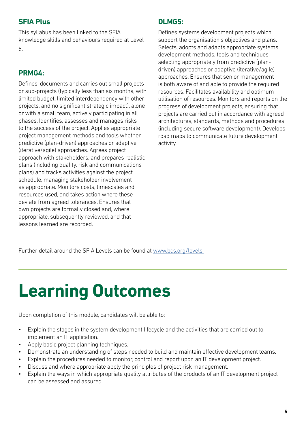### **SFIA Plus**

This syllabus has been linked to the SFIA knowledge skills and behaviours required at Level

5.

### **PRMG4:**

Defines, documents and carries out small projects or sub-projects (typically less than six months, with limited budget, limited interdependency with other projects, and no significant strategic impact), alone or with a small team, actively participating in all phases. Identifies, assesses and manages risks to the success of the project. Applies appropriate project management methods and tools whether predictive (plan-driven) approaches or adaptive (iterative/agile) approaches. Agrees project approach with stakeholders, and prepares realistic plans (including quality, risk and communications plans) and tracks activities against the project schedule, managing stakeholder involvement as appropriate. Monitors costs, timescales and resources used, and takes action where these deviate from agreed tolerances. Ensures that own projects are formally closed and, where appropriate, subsequently reviewed, and that lessons learned are recorded.

### **DLMG5:**

Defines systems development projects which support the organisation's objectives and plans. Selects, adopts and adapts appropriate systems development methods, tools and techniques selecting appropriately from predictive (plandriven) approaches or adaptive (iterative/agile) approaches. Ensures that senior management is both aware of and able to provide the required resources. Facilitates availability and optimum utilisation of resources. Monitors and reports on the progress of development projects, ensuring that projects are carried out in accordance with agreed architectures, standards, methods and procedures (including secure software development). Develops road maps to communicate future development activity.

Further detail around the SFIA Levels can be found at [www.bcs.org/levels.](https://www.bcs.org/media/5165/sfia-levels-knowledge.pdf)

# **Learning Outcomes**

Upon completion of this module, candidates will be able to:

- Explain the stages in the system development lifecycle and the activities that are carried out to implement an IT application.
- Apply basic project planning techniques.
- Demonstrate an understanding of steps needed to build and maintain effective development teams.
- Explain the procedures needed to monitor, control and report upon an IT development project.
- Discuss and where appropriate apply the principles of project risk management.
- Explain the ways in which appropriate quality attributes of the products of an IT development project can be assessed and assured.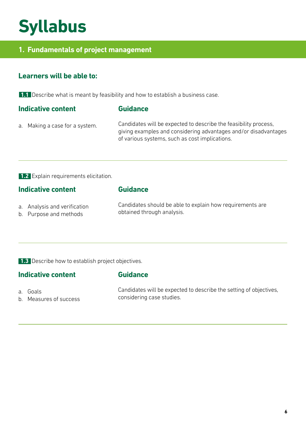## **Syllabus**

### **1. Fundamentals of project management**

### **Learners will be able to:**

**1.1** Describe what is meant by feasibility and how to establish a business case.

### **Indicative content**

### **Guidance**

a. Making a case for a system.

Candidates will be expected to describe the feasibility process, giving examples and considering advantages and/or disadvantages of various systems, such as cost implications.

### **1.2** Explain requirements elicitation.

### **Indicative content**

### **Guidance**

**Guidance**

- a. Analysis and verification
- b. Purpose and methods

Candidates should be able to explain how requirements are obtained through analysis.

**1.3** Describe how to establish project objectives.

### **Indicative content**

- a. Goals
- b. Measures of success

Candidates will be expected to describe the setting of objectives, considering case studies.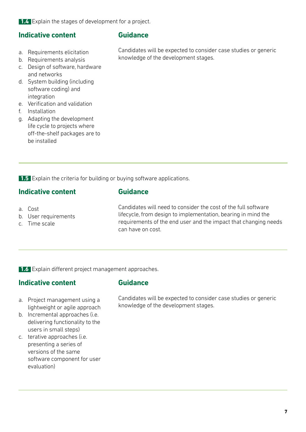**1.4** Explain the stages of development for a project.

### **Indicative content**

- a. Requirements elicitation
- b. Requirements analysis
- c. Design of software, hardware and networks
- d. System building (including software coding) and integration
- e. Verification and validation
- f. Installation
- g. Adapting the development life cycle to projects where off-the-shelf packages are to be installed

### **Guidance**

Candidates will be expected to consider case studies or generic knowledge of the development stages.

**1.5** Explain the criteria for building or buying software applications.

### **Indicative content**

- a. Cost
- b. User requirements
- c. Time scale

Candidates will need to consider the cost of the full software lifecycle, from design to implementation, bearing in mind the requirements of the end user and the impact that changing needs can have on cost.

**1.6** Explain different project management approaches.

### **Indicative content**

### **Guidance**

**Guidance**

- a. Project management using a lightweight or agile approach
- b. Incremental approaches (i.e. delivering functionality to the users in small steps)
- c. terative approaches (i.e. presenting a series of versions of the same software component for user evaluation)

Candidates will be expected to consider case studies or generic knowledge of the development stages.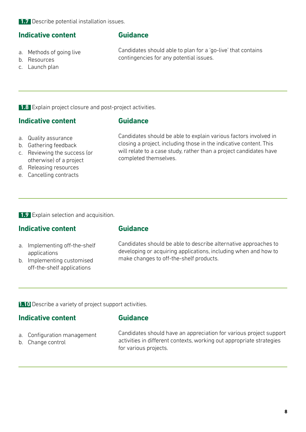### **Indicative content**

a. Methods of going live

**Guidance**

Candidates should able to plan for a 'go-live' that contains contingencies for any potential issues.

b. Resources c. Launch plan

**1.8** Explain project closure and post-project activities.

### **Indicative content**

### **Guidance**

- a. Quality assurance
- b. Gathering feedback
- c. Reviewing the success (or otherwise) of a project
- d. Releasing resources
- e. Cancelling contracts

Candidates should be able to explain various factors involved in closing a project, including those in the indicative content. This will relate to a case study, rather than a project candidates have completed themselves.

**1.9** Explain selection and acquisition.

### **Indicative content**

### **Guidance**

- a. Implementing off-the-shelf applications
- b. Implementing customised off-the-shelf applications

Candidates should be able to describe alternative approaches to developing or acquiring applications, including when and how to make changes to off-the-shelf products.

**1.10** Describe a variety of project support activities.

### **Indicative content**

### **Guidance**

- a. Configuration management
- b. Change control

Candidates should have an appreciation for various project support activities in different contexts, working out appropriate strategies for various projects.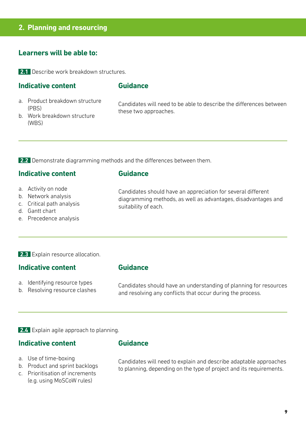### **2. Planning and resourcing**

### **Learners will be able to:**

**2.1** Describe work breakdown structures.

### **Indicative content**

### **Guidance**

a. Product breakdown structure (PBS)

Candidates will need to be able to describe the differences between these two approaches.

b. Work breakdown structure (WBS)

**2.2** Demonstrate diagramming methods and the differences between them.

### **Indicative content**

### **Guidance**

- a. Activity on node
- b. Network analysis
- c. Critical path analysis
- d. Gantt chart
- e. Precedence analysis

Candidates should have an appreciation for several different diagramming methods, as well as advantages, disadvantages and suitability of each.

### **2.3** Explain resource allocation.

### **Indicative content**

### **Guidance**

- a. Identifying resource types
- b. Resolving resource clashes

Candidates should have an understanding of planning for resources and resolving any conflicts that occur during the process.

**2.4** Explain agile approach to planning.

### **Indicative content**

### **Guidance**

- a. Use of time-boxing
- b. Product and sprint backlogs
- c. Prioritisation of increments (e.g. using MoSCoW rules)

Candidates will need to explain and describe adaptable approaches to planning, depending on the type of project and its requirements.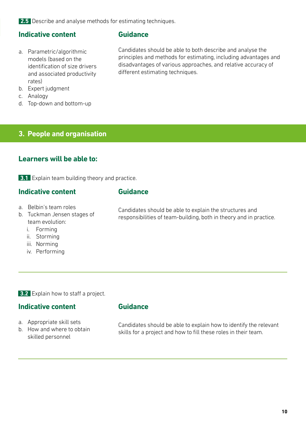**2.5** Describe and analyse methods for estimating techniques.

### **Indicative content**

- a. Parametric/algorithmic models (based on the identification of size drivers and associated productivity rates)
- b. Expert judgment
- c. Analogy
- d. Top-down and bottom-up

### **3. People and organisation**

### **Learners will be able to:**

**3.1** Explain team building theory and practice.

### **Indicative content**

### **Guidance**

**Guidance**

- a. Belbin's team roles
- b. Tuckman Jensen stages of team evolution:
	- i. Forming
	- ii. Storming
	- iii. Norming
	- iv. Performing

**3.2** Explain how to staff a project.

### **Indicative content**

- a. Appropriate skill sets
- b. How and where to obtain skilled personnel

### **Guidance**

Candidates should be able to explain how to identify the relevant skills for a project and how to fill these roles in their team.

Candidates should be able to both describe and analyse the principles and methods for estimating, including advantages and disadvantages of various approaches, and relative accuracy of different estimating techniques.

Candidates should be able to explain the structures and responsibilities of team-building, both in theory and in practice.

**10**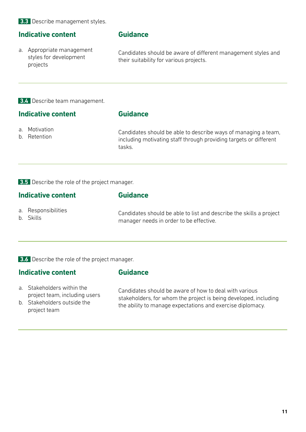### **3.3** Describe management styles.

### **Indicative content**

a. Appropriate management styles for development projects

### **Guidance**

Candidates should be aware of different management styles and their suitability for various projects.

**3.4** Describe team management.

### **Indicative content**

### **Guidance**

- a. Motivation
- b. Retention

Candidates should be able to describe ways of managing a team, including motivating staff through providing targets or different tasks.

### **3.5** Describe the role of the project manager.

| Indicative content |                                  | <b>Guidance</b>                                                                                                |  |
|--------------------|----------------------------------|----------------------------------------------------------------------------------------------------------------|--|
|                    | a. Responsibilities<br>b. Skills | Candidates should be able to list and describe the skills a project<br>manager needs in order to be effective. |  |

**3.6** Describe the role of the project manager.

### **Indicative content**

### **Guidance**

- a. Stakeholders within the project team, including users
- b. Stakeholders outside the project team

Candidates should be aware of how to deal with various stakeholders, for whom the project is being developed, including the ability to manage expectations and exercise diplomacy.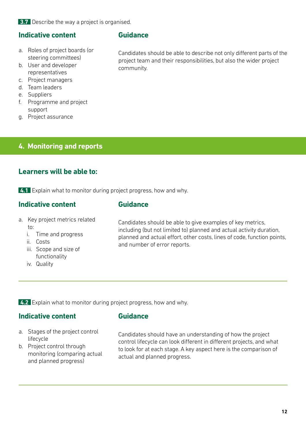**3.7** Describe the way a project is organised.

### **Indicative content**

- a. Roles of project boards (or steering committees)
- b. User and developer representatives
- c. Project managers
- d. Team leaders
- e. Suppliers
- f. Programme and project support
- g. Project assurance

## **4. Monitoring and reports**

### **Learners will be able to:**

**4.1** Explain what to monitor during project progress, how and why.

### **Indicative content**

### **Guidance**

- a. Key project metrics related to:
	- i. Time and progress
	- ii. Costs
	- iii. Scope and size of functionality
	- iv. Quality

Candidates should be able to give examples of key metrics, including (but not limited to) planned and actual activity duration, planned and actual effort, other costs, lines of code, function points, and number of error reports.

**4.2** Explain what to monitor during project progress, how and why.

### **Indicative content**

### **Guidance**

- a. Stages of the project control lifecycle
- b. Project control through monitoring (comparing actual and planned progress)

Candidates should have an understanding of how the project control lifecycle can look different in different projects, and what to look for at each stage. A key aspect here is the comparison of actual and planned progress.

**Guidance**

Candidates should be able to describe not only different parts of the project team and their responsibilities, but also the wider project community.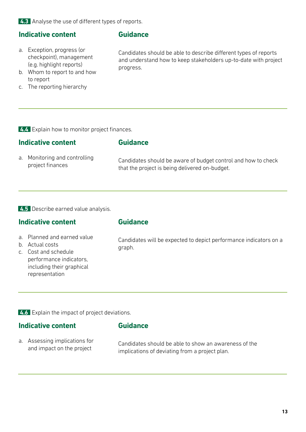**4.3** Analyse the use of different types of reports.

### **Indicative content**

### **Guidance**

a. Exception, progress (or checkpoint), management (e.g. highlight reports)

Candidates should be able to describe different types of reports and understand how to keep stakeholders up-to-date with project progress.

- b. Whom to report to and how to report
- c. The reporting hierarchy

**4.4** Explain how to monitor project finances.

### **Indicative content**

a. Monitoring and controlling project finances

Candidates should be aware of budget control and how to check that the project is being delivered on-budget.

### **4.5** Describe earned value analysis.

### **Indicative content**

### **Guidance**

**Guidance**

- a. Planned and earned value
- b. Actual costs
- c. Cost and schedule performance indicators, including their graphical representation

Candidates will be expected to depict performance indicators on a graph.

**4.6** Explain the impact of project deviations.

### **Indicative content**

- **Guidance**
- a. Assessing implications for and impact on the project

Candidates should be able to show an awareness of the implications of deviating from a project plan.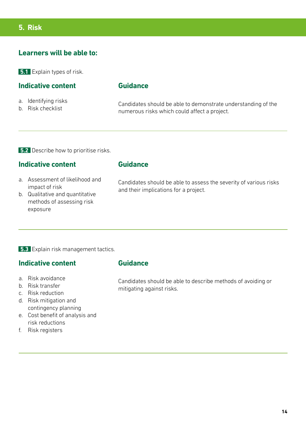### **Learners will be able to:**

**5.1** Explain types of risk.

### **Indicative content**

- a. Identifying risks
- b. Risk checklist

### **Guidance**

Candidates should be able to demonstrate understanding of the numerous risks which could affect a project.

**5.2** Describe how to prioritise risks.

### **Indicative content**

- a. Assessment of likelihood and impact of risk
- b. Qualitative and quantitative methods of assessing risk exposure

### **Guidance**

Candidates should be able to assess the severity of various risks and their implications for a project.

### **5.3** Explain risk management tactics.

### **Indicative content**

- a. Risk avoidance
- b. Risk transfer
- c. Risk reduction
- d. Risk mitigation and contingency planning
- e. Cost benefit of analysis and risk reductions
- f. Risk registers

### **Guidance**

Candidates should be able to describe methods of avoiding or mitigating against risks.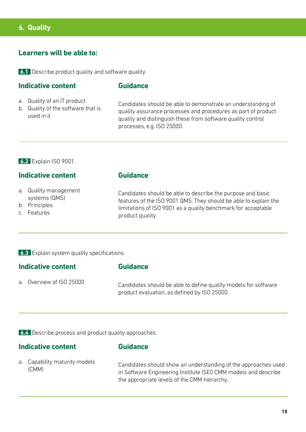### **6. Quality**

### **Learners will be able to:**

**6.1** Describe product quality and software quality.

### **Indicative content**

### **Guidance**

- a. Quality of an IT product
- b. Quality of the software that is used in it

Candidates should be able to demonstrate an understanding of quality assurance processes and procedures as part of product quality and distinguish these from software quality control processes, e.g. ISO 25000.

### **6.2** Explain ISO 9001.

### **Indicative content**

- a. Quality management systems (QMS)
- b. Principles
- c. Features

### **Guidance**

Candidates should be able to describe the purpose and basic features of the ISO 9001 QMS. They should be able to explain the limitations of ISO 9001 as a quality benchmark for acceptable product quality.

**6.3** Explain system quality specifications.

### **Indicative content**

a. Overview of ISO 25000

Candidates should be able to define quality models for software product evaluation, as defined by ISO 25000.

**6.4** Describe process and product quality approaches.

### **Indicative content**

### **Guidance**

**Guidance**

a. Capability maturity models (CMM)

Candidates should show an understanding of the approaches used in Software Engineering Institute (SEI) CMM models and describe the appropriate levels of the CMM hierarchy..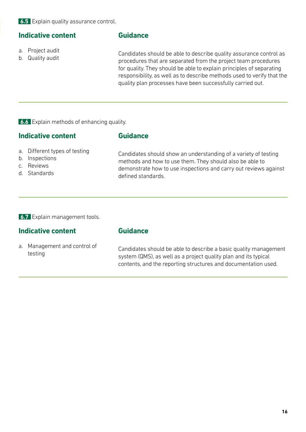### **Indicative content**

### a. Project audit

b. Quality audit

### **Guidance**

Candidates should be able to describe quality assurance control as procedures that are separated from the project team procedures for quality. They should be able to explain principles of separating responsibility, as well as to describe methods used to verify that the quality plan processes have been successfully carried out.

**6.6** Explain methods of enhancing quality.

### **Indicative content**

### **Guidance**

- a. Different types of testing
- b. Inspections
- c. Reviews
- d. Standards

Candidates should show an understanding of a variety of testing methods and how to use them. They should also be able to demonstrate how to use inspections and carry out reviews against defined standards.

### **6.7** Explain management tools.

### **Indicative content**

### **Guidance**

a. Management and control of testing

Candidates should be able to describe a basic quality management system (QMS), as well as a project quality plan and its typical contents, and the reporting structures and documentation used.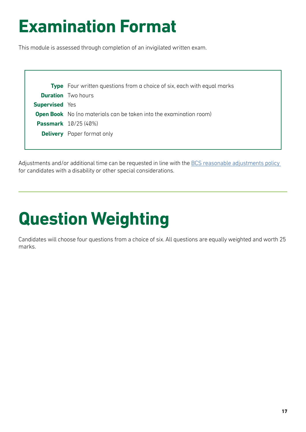## **Examination Format**

This module is assessed through completion of an invigilated written exam.

|                       | <b>Type</b> Four written questions from a choice of six, each with equal marks |  |
|-----------------------|--------------------------------------------------------------------------------|--|
|                       | <b>Duration</b> Two hours                                                      |  |
| <b>Supervised</b> Yes |                                                                                |  |
|                       | <b>Open Book</b> No (no materials can be taken into the examination room)      |  |
|                       | <b>Passmark</b> 10/25 (40%)                                                    |  |
|                       | <b>Delivery</b> Paper format only                                              |  |
|                       |                                                                                |  |

Adjustments and/or additional time can be requested in line with the BCS reasonable adjustments policy for candidates with a disability or other special considerations.

# **Question Weighting**

Candidates will choose four questions from a choice of six. All questions are equally weighted and worth 25 marks.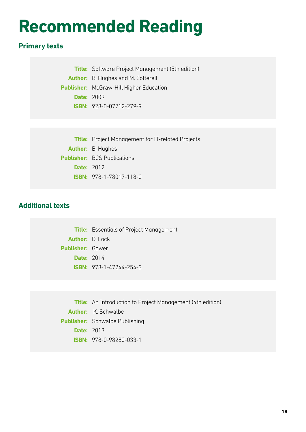## **Recommended Reading**

### **Primary texts**

**Title:** Software Project Management (5th edition)

**Author:** B. Hughes and M. Cotterell

**Publisher:** McGraw-Hill Higher Education

**Date:** 2009

**ISBN:** 928-0-07712-279-9

**Title:** Project Management for IT-related Projects **Author:** B. Hughes **Publisher:** BCS Publications **Date:** 2012 **ISBN:** 978-1-78017-118-0

### **Additional texts**

**Title:** Essentials of Project Management **Author:** D. Lock **Publisher:** Gower **Date:** 2014 **ISBN:** 978-1-47244-254-3

**Title:** An Introduction to Project Management (4th edition) **Author:** K. Schwalbe **Publisher:** Schwalbe Publishing **Date:** 2013 **ISBN:** 978-0-98280-033-1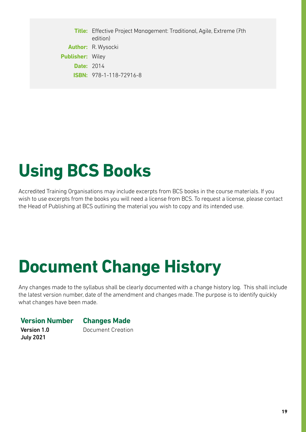**Title:** Effective Project Management: Traditional, Agile, Extreme (7th edition) **Author:** R. Wysocki **Publisher:** Wiley **Date:** 2014 **ISBN:** 978-1-118-72916-8

## **Using BCS Books**

Accredited Training Organisations may include excerpts from BCS books in the course materials. If you wish to use excerpts from the books you will need a license from BCS. To request a license, please contact the Head of Publishing at BCS outlining the material you wish to copy and its intended use.

## **Document Change History**

Any changes made to the syllabus shall be clearly documented with a change history log. This shall include the latest version number, date of the amendment and changes made. The purpose is to identify quickly what changes have been made.

### **Version Number Changes Made**

Version 1.0 July 2021

Document Creation